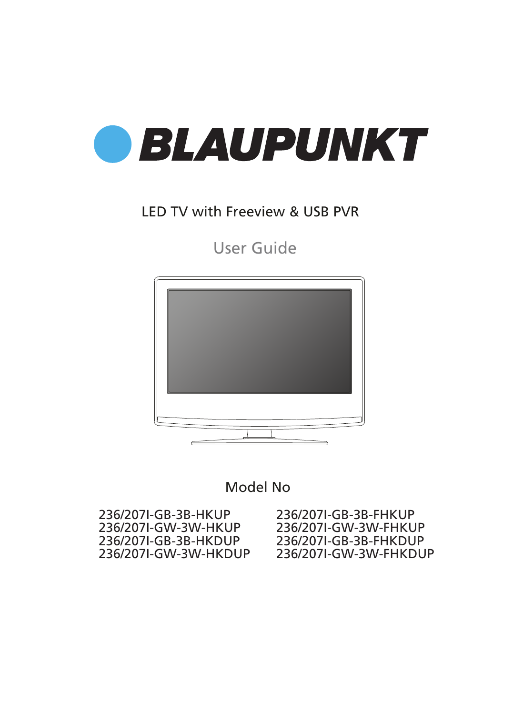

### LED TV with Freeview & USB PVR

User Guide



Model No

236/207I-GB-3B-FHKUP 236/207I-GW-3W-FHKUP 236/207I-GB-3B-FHKDUP 236/207I-GW-3W-FHKDUP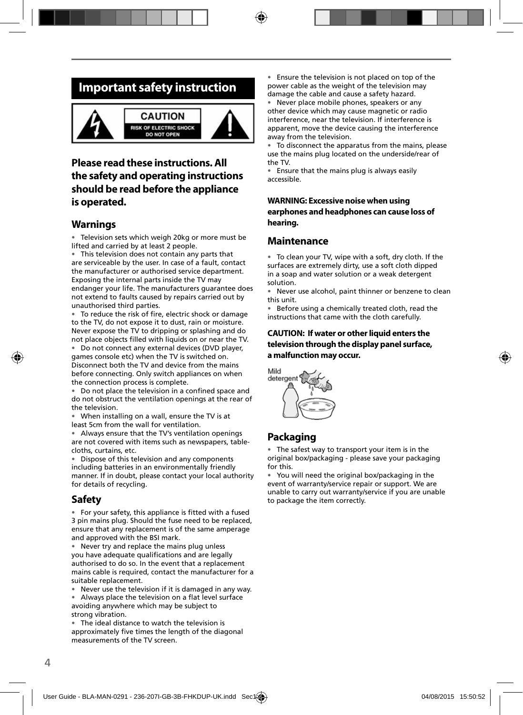### **Important safety instruction**



### **Please read these instructions. All the safety and operating instructions should be read before the appliance is operated.**

#### **Warnings**

• Television sets which weigh 20kg or more must be lifted and carried by at least 2 people.

• This television does not contain any parts that are serviceable by the user. In case of a fault, contact the manufacturer or authorised service department. Exposing the internal parts inside the TV may endanger your life. The manufacturers guarantee does not extend to faults caused by repairs carried out by unauthorised third parties.

To reduce the risk of fire, electric shock or damage to the TV, do not expose it to dust, rain or moisture. Never expose the TV to dripping or splashing and do not place objects fi lled with liquids on or near the TV.

• Do not connect any external devices (DVD player, games console etc) when the TV is switched on. Disconnect both the TV and device from the mains before connecting. Only switch appliances on when the connection process is complete.

Do not place the television in a confined space and do not obstruct the ventilation openings at the rear of the television.

• When installing on a wall, ensure the TV is at least 5cm from the wall for ventilation.

• Always ensure that the TV's ventilation openings are not covered with items such as newspapers, tablecloths, curtains, etc.

• Dispose of this television and any components including batteries in an environmentally friendly manner. If in doubt, please contact your local authority for details of recycling.

#### **Safety**

• For your safety, this appliance is fitted with a fused 3 pin mains plug. Should the fuse need to be replaced, ensure that any replacement is of the same amperage and approved with the BSI mark.

• Never try and replace the mains plug unless you have adequate qualifications and are legally authorised to do so. In the event that a replacement mains cable is required, contact the manufacturer for a suitable replacement.

Never use the television if it is damaged in any way.

Always place the television on a flat level surface avoiding anywhere which may be subject to strong vibration.

• The ideal distance to watch the television is approximately five times the length of the diagonal measurements of the TV screen.

• Ensure the television is not placed on top of the power cable as the weight of the television may damage the cable and cause a safety hazard.

• Never place mobile phones, speakers or any other device which may cause magnetic or radio interference, near the television. If interference is apparent, move the device causing the interference away from the television.

• To disconnect the apparatus from the mains, please use the mains plug located on the underside/rear of the TV.

• Ensure that the mains plug is always easily accessible.

#### **WARNING: Excessive noise when using earphones and headphones can cause loss of hearing.**

#### **Maintenance**

• To clean your TV, wipe with a soft, dry cloth. If the surfaces are extremely dirty, use a soft cloth dipped in a soap and water solution or a weak detergent solution.

• Never use alcohol, paint thinner or benzene to clean this unit.

• Before using a chemically treated cloth, read the instructions that came with the cloth carefully.

#### **CAUTION: If water or other liquid enters the television through the display panel surface, a malfunction may occur.**



### **Packaging**

• The safest way to transport your item is in the original box/packaging - please save your packaging for this.

• You will need the original box/packaging in the event of warranty/service repair or support. We are unable to carry out warranty/service if you are unable to package the item correctly.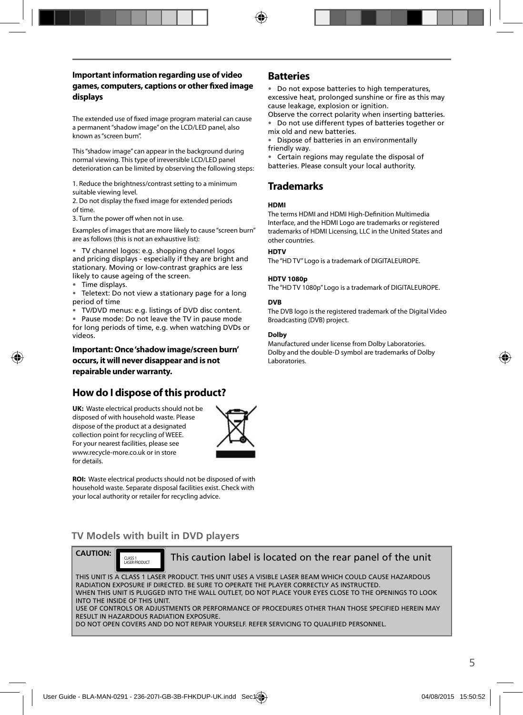#### **Important information regarding use of video games, computers, captions or other fi xed image displays**

The extended use of fixed image program material can cause a permanent "shadow image" on the LCD/LED panel, also known as "screen burn".

This "shadow image" can appear in the background during normal viewing. This type of irreversible LCD/LED panel deterioration can be limited by observing the following steps:

1. Reduce the brightness/contrast setting to a minimum suitable viewing level.

2. Do not display the fixed image for extended periods of time.

3. Turn the power off when not in use.

Examples of images that are more likely to cause "screen burn" are as follows (this is not an exhaustive list):

• TV channel logos: e.g. shopping channel logos and pricing displays - especially if they are bright and stationary. Moving or low-contrast graphics are less likely to cause ageing of the screen.

• Time displays.

• Teletext: Do not view a stationary page for a long period of time

• TV/DVD menus: e.g. listings of DVD disc content.

• Pause mode: Do not leave the TV in pause mode for long periods of time, e.g. when watching DVDs or videos.

**Important: Once 'shadow image/screen burn' occurs, it will never disappear and is not repairable under warranty.**

### **How do I dispose of this product?**

**UK:** Waste electrical products should not be disposed of with household waste. Please dispose of the product at a designated collection point for recycling of WEEE. For your nearest facilities, please see www.recycle-more.co.uk or in store for details.



**ROI:** Waste electrical products should not be disposed of with household waste. Separate disposal facilities exist. Check with your local authority or retailer for recycling advice.

#### **Batteries**

• Do not expose batteries to high temperatures, excessive heat, prolonged sunshine or fire as this may cause leakage, explosion or ignition.

Observe the correct polarity when inserting batteries. • Do not use different types of batteries together or mix old and new batteries.

• Dispose of batteries in an environmentally friendly way.

• Certain regions may regulate the disposal of batteries. Please consult your local authority.

### **Trademarks**

#### **HDMI**

The terms HDMI and HDMI High-Definition Multimedia Interface, and the HDMI Logo are trademarks or registered trademarks of HDMI Licensing, LLC in the United States and other countries.

#### **HDTV**

The "HD TV" Logo is a trademark of DIGITALEUROPE.

#### **HDTV 1080p**

The "HD TV 1080p" Logo is a trademark of DIGITALEUROPE.

#### **DVB**

The DVB logo is the registered trademark of the Digital Video Broadcasting (DVB) project.

#### **Dolby**

Manufactured under license from Dolby Laboratories. Dolby and the double-D symbol are trademarks of Dolby Laboratories.

### **TV Models with built in DVD players**



CLASS 1<br>LASER RROULLET

This caution label is located on the rear panel of the unit

THIS UNIT IS A CLASS 1 LASER PRODUCT. THIS UNIT USES A VISIBLE LASER BEAM WHICH COULD CAUSE HAZARDOUS RADIATION EXPOSURE IF DIRECTED. BE SURE TO OPERATE THE PLAYER CORRECTLY AS INSTRUCTED. WHEN THIS UNIT IS PLUGGED INTO THE WALL OUTLET, DO NOT PLACE YOUR EYES CLOSE TO THE OPENINGS TO LOOK INTO THE INSIDE OF THIS UNIT. USE OF CONTROLS OR ADJUSTMENTS OR PERFORMANCE OF PROCEDURES OTHER THAN THOSE SPECIFIED HEREIN MAY RESULT IN HAZARDOUS RADIATION EXPOSURE.

DO NOT OPEN COVERS AND DO NOT REPAIR YOURSELF. REFER SERVICING TO QUALIFIED PERSONNEL.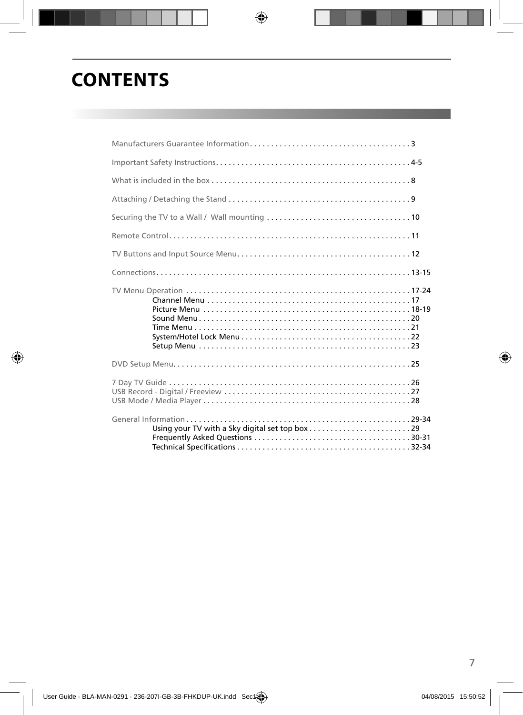# **CONTENTS**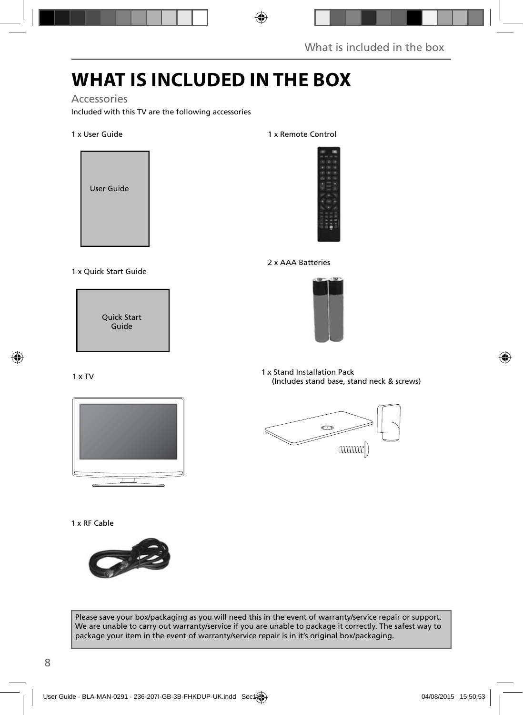## **WHAT IS INCLUDED IN THE BOX**

### Accessories

Included with this TV are the following accessories

#### 1 x User Guide



#### 1 x Quick Start Guide



#### 1 x TV



#### 1 x RF Cable



### 1 x Remote Control



#### 2 x AAA Batteries



1 x Stand Installation Pack (Includes stand base, stand neck & screws)



Please save your box/packaging as you will need this in the event of warranty/service repair or support. We are unable to carry out warranty/service if you are unable to package it correctly. The safest way to package your item in the event of warranty/service repair is in it's original box/packaging.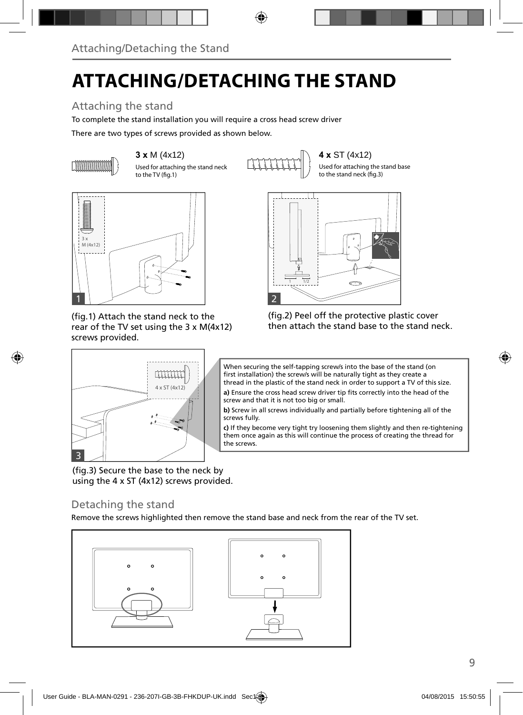# **ATTACHING/DETACHING THE STAND**

### Attaching the stand

To complete the stand installation you will require a cross head screw driver

There are two types of screws provided as shown below.



Used for attaching the stand neck to the TV (fig.1)

**3 x M (4x12)**  $\left\{\begin{matrix} 1 \\ 1 \end{matrix}\right\}$  **4 x** ST (4x12)

Used for attaching the stand base to the stand neck (fig.3)



(fig.1) Attach the stand neck to the rear of the TV set using the 3 x M(4x12) screws provided.

4 x ST (4x12)

**TITITI** 



(fig.2) Peel off the protective plastic cover then attach the stand base to the stand neck.

When securing the self-tapping screw/s into the base of the stand (on first installation) the screw/s will be naturally tight as they create a thread in the plastic of the stand neck in order to support a TV of this size.

**a)** Ensure the cross head screw driver tip fits correctly into the head of the screw and that it is not too big or small.

**b)** Screw in all screws individually and partially before tightening all of the screws fully.

**c)** If they become very tight try loosening them slightly and then re-tightening them once again as this will continue the process of creating the thread for the screws.

(fig.3) Secure the base to the neck by using the 4 x ST (4x12) screws provided.

### Detaching the stand

3

Remove the screws highlighted then remove the stand base and neck from the rear of the TV set.

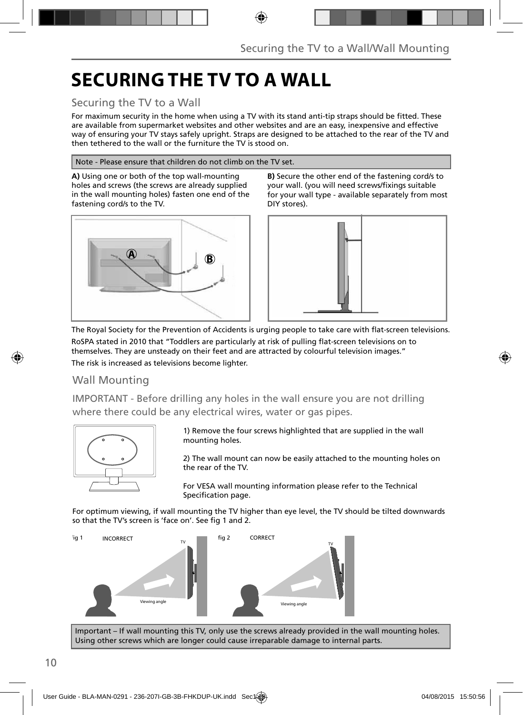## **SECURING THE TV TO A WALL**

### Securing the TV to a Wall

For maximum security in the home when using a TV with its stand anti-tip straps should be fitted. These are available from supermarket websites and other websites and are an easy, inexpensive and effective way of ensuring your TV stays safely upright. Straps are designed to be attached to the rear of the TV and then tethered to the wall or the furniture the TV is stood on.

#### Note - Please ensure that children do not climb on the TV set.

**A)** Using one or both of the top wall-mounting holes and screws (the screws are already supplied in the wall mounting holes) fasten one end of the fastening cord/s to the TV.



**B)** Secure the other end of the fastening cord/s to your wall. (you will need screws/fixings suitable for your wall type - available separately from most DIY stores).



The Royal Society for the Prevention of Accidents is urging people to take care with flat-screen televisions. RoSPA stated in 2010 that "Toddlers are particularly at risk of pulling flat-screen televisions on to themselves. They are unsteady on their feet and are attracted by colourful television images." The risk is increased as televisions become lighter.

### Wall Mounting

IMPORTANT - Before drilling any holes in the wall ensure you are not drilling where there could be any electrical wires, water or gas pipes.



1) Remove the four screws highlighted that are supplied in the wall mounting holes.

2) The wall mount can now be easily attached to the mounting holes on the rear of the TV.

For VESA wall mounting information please refer to the Technical Specification page.

For optimum viewing, if wall mounting the TV higher than eye level, the TV should be tilted downwards so that the TV's screen is 'face on'. See fig 1 and 2.



Important – If wall mounting this TV, only use the screws already provided in the wall mounting holes. Using other screws which are longer could cause irreparable damage to internal parts.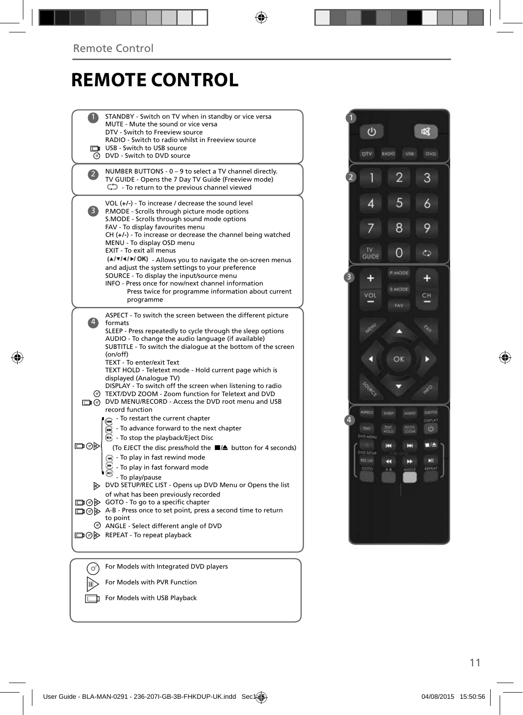## **REMOTE CONTROL**

|              | STANDBY - Switch on TV when in standby or vice versa<br>MUTE - Mute the sound or vice versa<br>DTV - Switch to Freeview source<br>RADIO - Switch to radio whilst in Freeview source<br>USB - Switch to USB source<br><b>O</b> DVD - Switch to DVD source                                                                                                                                                                                                                                                                                                                                                                                   |  |
|--------------|--------------------------------------------------------------------------------------------------------------------------------------------------------------------------------------------------------------------------------------------------------------------------------------------------------------------------------------------------------------------------------------------------------------------------------------------------------------------------------------------------------------------------------------------------------------------------------------------------------------------------------------------|--|
| $\mathbf{2}$ | NUMBER BUTTONS - 0 - 9 to select a TV channel directly.<br>TV GUIDE - Opens the 7 Day TV Guide (Freeview mode)<br>$\mathbb{C}$ - To return to the previous channel viewed                                                                                                                                                                                                                                                                                                                                                                                                                                                                  |  |
| 3            | VOL $(+/-)$ - To increase / decrease the sound level<br>P.MODE - Scrolls through picture mode options<br>S.MODE - Scrolls through sound mode options<br>FAV - To display favourites menu<br>CH (+/-) - To increase or decrease the channel being watched<br>MENU - To display OSD menu<br>EXIT - To exit all menus<br>(A/V/4/M/OK) - Allows you to navigate the on-screen menus<br>and adjust the system settings to your preference<br>SOURCE - To display the input/source menu<br>INFO - Press once for now/next channel information<br>Press twice for programme information about current<br>programme                                |  |
| $\ket{4}$    | ASPECT - To switch the screen between the different picture<br>formats<br>SLEEP - Press repeatedly to cycle through the sleep options<br>AUDIO - To change the audio language (if available)<br>SUBTITLE - To switch the dialogue at the bottom of the screen<br>(on/off)<br>TEXT - To enter/exit Text<br>TEXT HOLD - Teletext mode - Hold current page which is<br>displayed (Analogue TV)<br>DISPLAY - To switch off the screen when listening to radio<br>TEXT/DVD ZOOM - Zoom function for Teletext and DVD<br>DVD MENU/RECORD - Access the DVD root menu and USB<br>record function                                                   |  |
| ▭⊙▶          | - To restart the current chapter<br>- To advance forward to the next chapter<br>(m)<br><b>B</b> - To stop the playback/Eject Disc<br>(To EJECT the disc press/hold the ■▲ button for 4 seconds)<br>$\left( \mathbf{A} \right)$ - To play in fast rewind mode<br>- To play in fast forward mode<br>- To play/pause<br>DVD SETUP/REC LIST - Opens up DVD Menu or Opens the list<br>of what has been previously recorded<br>□ ⊙ > GOTO - To go to a specific chapter<br>A-B - Press once to set point, press a second time to return<br>to point<br>$\circledcirc$ ANGLE - Select different angle of DVD<br>□ ⊙ D REPEAT - To repeat playback |  |
|              | For Models with Integrated DVD players                                                                                                                                                                                                                                                                                                                                                                                                                                                                                                                                                                                                     |  |
|              | For Models with PVR Function                                                                                                                                                                                                                                                                                                                                                                                                                                                                                                                                                                                                               |  |

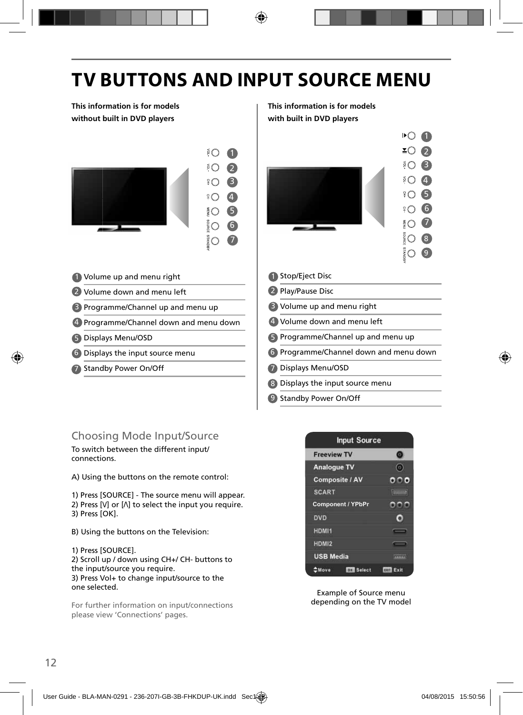# **TV BUTTONS AND INPUT SOURCE MENU**

**This information is for models without built in DVD players**



- 1 Volume up and menu right **1** 1
- 2 Volume down and menu left 2
- 3 Programme/Channel up and menu up **B**
- 4 Programme/Channel down and menu down | 4
- 5 Displays Menu/OSD **1996**
- Displays the input source menu 6 6
- 7 Standby Power On/Off **1996 1997**

#### **This information is for models with built in DVD players**



- **C** Programme/Channel down and menu down
- Displays Menu/OSD
- Displays the input source menu 8
- 9 Standby Power On/Off

### Choosing Mode Input/Source

To switch between the different input/ connections.

A) Using the buttons on the remote control:

1) Press [SOURCE] - The source menu will appear. 2) Press  $[V]$  or  $[\Lambda]$  to select the input you require. 3) Press [OK].

- B) Using the buttons on the Television:
- 1) Press [SOURCE].

2) Scroll up / down using CH+/ CH- buttons to the input/source you require. 3) Press Vol+ to change input/source to the one selected.

For further information on input/connections please view 'Connections' pages.



Example of Source menu depending on the TV model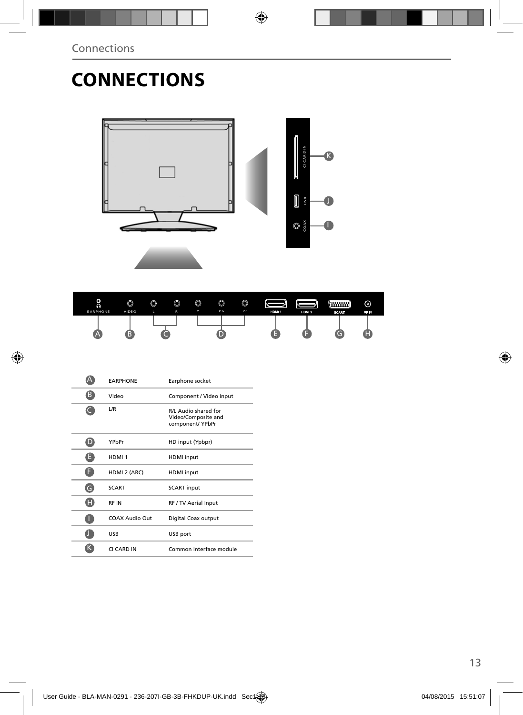## **CONNECTIONS**





|   | <b><i>EARPHONE</i></b> | Earphone socket                                                 |
|---|------------------------|-----------------------------------------------------------------|
| B | Video                  | Component / Video input                                         |
|   | L/R                    | R/L Audio shared for<br>Video/Composite and<br>component/ YPbPr |
|   | YPbPr                  | HD input (Ypbpr)                                                |
| н | HDMI <sub>1</sub>      | <b>HDMI</b> input                                               |
|   | HDMI 2 (ARC)           | <b>HDMI</b> input                                               |
| G | <b>SCART</b>           | <b>SCART</b> input                                              |
| A | <b>RFIN</b>            | RF / TV Aerial Input                                            |
|   | COAX Audio Out         | Digital Coax output                                             |
|   | USB                    | USB port                                                        |
|   | CI CARD IN             | Common Interface module                                         |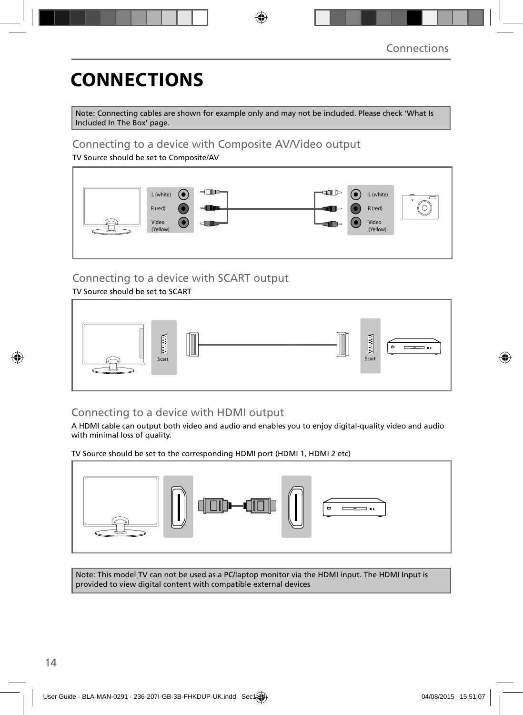# **CONNECTIONS**

Note: Connecting cables are shown for example only and may not be included. Please check 'What Is Included In The Box' page.

### Connecting to a device with Composite AV/Video output

TV Source should be set to Composite/AV



### Connecting to a device with SCART output

TV Source should be set to SCART



### Connecting to a device with HDMI output

A HDMI cable can output both video and audio and enables you to enjoy digital-quality video and audio with minimal loss of quality.

TV Source should be set to the corresponding HDMI port (HDMI 1, HDMI 2 etc)



Note: This model TV can not be used as a PC/laptop monitor via the HDMI input. The HDMI Input is provided to view digital content with compatible external devices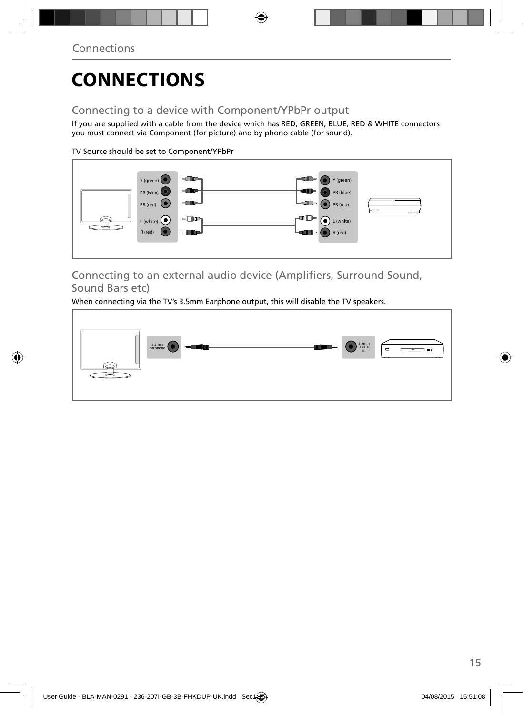# **CONNECTIONS**

### Connecting to a device with Component/YPbPr output

If you are supplied with a cable from the device which has RED, GREEN, BLUE, RED & WHITE connectors you must connect via Component (for picture) and by phono cable (for sound).

TV Source should be set to Component/YPbPr



Connecting to an external audio device (Amplifiers, Surround Sound, Sound Bars etc)

When connecting via the TV's 3.5mm Earphone output, this will disable the TV speakers.

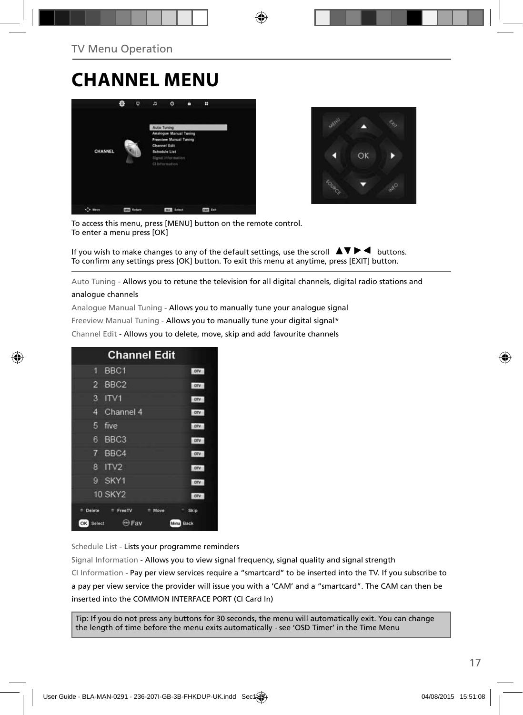## **CHANNEL MENU**





To access this menu, press [MENU] button on the remote control. To enter a menu press [OK]

If you wish to make changes to any of the default settings, use the scroll  $\Delta \nabla \blacktriangleright$   $\blacktriangleleft$  buttons. To confirm any settings press [OK] button. To exit this menu at anytime, press [EXIT] button.

Auto Tuning - Allows you to retune the television for all digital channels, digital radio stations and

#### analogue channels

Analogue Manual Tuning - Allows you to manually tune your analogue signal

Freeview Manual Tuning - Allows you to manually tune your digital signal\*

Channel Edit - Allows you to delete, move, skip and add favourite channels

| <b>Channel Edit</b>                           |            |
|-----------------------------------------------|------------|
| BBC <sub>1</sub><br>9                         | onv        |
| BBC <sub>2</sub><br>$\overline{2}$            | otv        |
| 3<br>ITVI                                     | otv        |
| Channel 4<br>4                                | otv        |
| 5<br>five                                     | otv        |
| BBC <sub>3</sub><br>6                         | <b>DIV</b> |
| $\overline{7}$<br>BBC4                        | onv        |
| ITV <sub>2</sub><br>8                         | onv        |
| SKY1<br>g                                     | onv        |
| <b>10 SKY2</b>                                | otv        |
| Delete<br><sup>#</sup> FreeTV<br>Move         | Skip       |
| <b>Exp</b> Fav<br>OK<br>Select<br><b>Menu</b> | Back       |

Schedule List - Lists your programme reminders

Signal Information - Allows you to view signal frequency, signal quality and signal strength CI Information - Pay per view services require a "smartcard" to be inserted into the TV. If you subscribe to a pay per view service the provider will issue you with a 'CAM' and a "smartcard". The CAM can then be inserted into the COMMON INTERFACE PORT (CI Card In)

Tip: If you do not press any buttons for 30 seconds, the menu will automatically exit. You can change the length of time before the menu exits automatically - see 'OSD Timer' in the Time Menu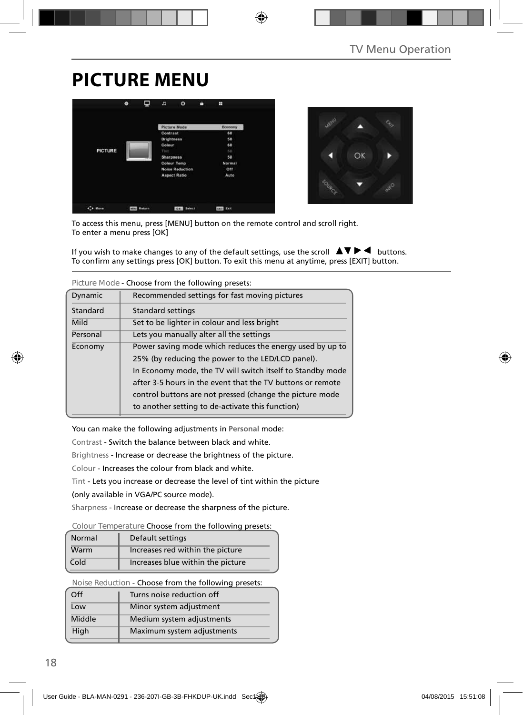## **PICTURE MENU**

|                | Ξ<br>۰        | n                 | $\circ$                | п | ÷             |
|----------------|---------------|-------------------|------------------------|---|---------------|
|                |               |                   | <b>Picture Mode</b>    |   | Economy       |
|                |               | Contrast          |                        |   | 60            |
|                |               | <b>Brightness</b> |                        |   | 50            |
|                |               | Colour            |                        |   | 60            |
| <b>PICTURE</b> |               | Tirit             |                        |   | 50            |
|                |               | <b>Sharpness</b>  |                        |   | 50            |
|                |               |                   | <b>Colour Temp</b>     |   | <b>Normal</b> |
|                |               |                   | <b>Noise Reduction</b> |   | Off           |
|                |               |                   | <b>Aspect Ratio</b>    |   | Auto          |
|                |               |                   |                        |   |               |
| C+ Move        | <b>Return</b> |                   | <b>FORM Select</b>     |   | tur tait      |



To access this menu, press [MENU] button on the remote control and scroll right. To enter a menu press [OK]

If you wish to make changes to any of the default settings, use the scroll  $\blacktriangle \blacktriangledown \blacktriangleright \blacktriangleleft$  buttons. To confirm any settings press [OK] button. To exit this menu at anytime, press [EXIT] button.

| TIGULE IVIOUE - CHOOSE TIONI LITE TONOWING DI ESELS. |                                                                                                                                                                                                                                                                                                       |  |
|------------------------------------------------------|-------------------------------------------------------------------------------------------------------------------------------------------------------------------------------------------------------------------------------------------------------------------------------------------------------|--|
| Dynamic                                              | Recommended settings for fast moving pictures                                                                                                                                                                                                                                                         |  |
| Standard                                             | Standard settings                                                                                                                                                                                                                                                                                     |  |
| Mild                                                 | Set to be lighter in colour and less bright                                                                                                                                                                                                                                                           |  |
| Personal                                             | Lets you manually alter all the settings                                                                                                                                                                                                                                                              |  |
| Economy                                              | Power saving mode which reduces the energy used by up to<br>25% (by reducing the power to the LED/LCD panel).<br>In Economy mode, the TV will switch itself to Standby mode<br>after 3-5 hours in the event that the TV buttons or remote<br>control buttons are not pressed (change the picture mode |  |
|                                                      | to another setting to de-activate this function)                                                                                                                                                                                                                                                      |  |

**Picture Mode** - Choose from the following presets:

You can make the following adjustments in **Personal** mode:

Contrast - Switch the balance between black and white.

Brightness - Increase or decrease the brightness of the picture.

Colour - Increases the colour from black and white.

Tint - Lets you increase or decrease the level of tint within the picture

(only available in VGA/PC source mode).

Sharpness - Increase or decrease the sharpness of the picture.

#### **Colour Temperature** Choose from the following presets:

| Normal | Default settings                  |
|--------|-----------------------------------|
| Warm   | Increases red within the picture  |
| Cold   | Increases blue within the picture |

**Noise Reduction** - Choose from the following presets:

| Turns noise reduction off  |
|----------------------------|
| Minor system adjustment    |
| Medium system adjustments  |
| Maximum system adjustments |
|                            |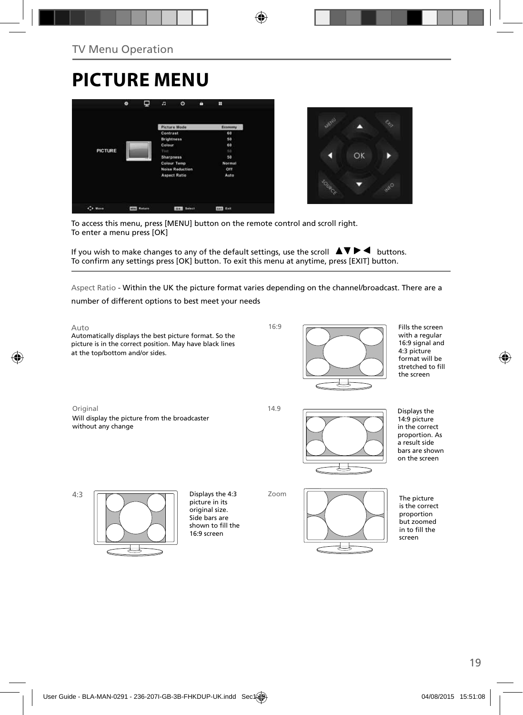# **PICTURE MENU**





To access this menu, press [MENU] button on the remote control and scroll right. To enter a menu press [OK]

If you wish to make changes to any of the default settings, use the scroll  $\blacktriangle \blacktriangledown \blacktriangleright \blacktriangleleft$  buttons. To confirm any settings press [OK] button. To exit this menu at anytime, press [EXIT] button.

Aspect Ratio - Within the UK the picture format varies depending on the channel/broadcast. There are a

number of different options to best meet your needs



Fills the screen with a regular 16:9 signal and 4:3 picture format will be stretched to fill the screen

Displays the 14:9 picture in the correct proportion. As a result side bars are shown on the screen

The picture is the correct proportion but zoomed in to fill the screen

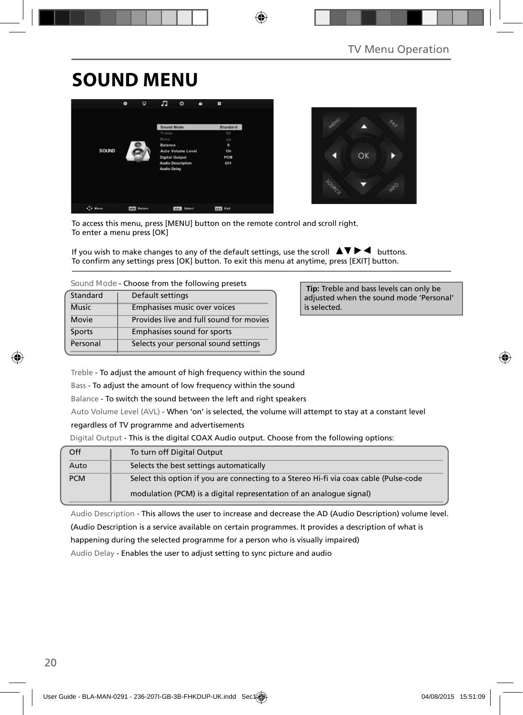## **SOUND MENU**





To access this menu, press [MENU] button on the remote control and scroll right. To enter a menu press [OK]

If you wish to make changes to any of the default settings, use the scroll  $\blacktriangle \blacktriangledown \blacktriangleright \blacktriangleleft$  buttons. To confirm any settings press [OK] button. To exit this menu at anytime, press [EXIT] button.

| Standard     | Default settings                        |
|--------------|-----------------------------------------|
| <b>Music</b> | Emphasises music over voices            |
| Movie        | Provides live and full sound for movies |
| Sports       | Emphasises sound for sports             |
| Personal     | Selects your personal sound settings    |

 **Tip:** Treble and bass levels can only be adjusted when the sound mode 'Personal' is selected.

Treble - To adjust the amount of high frequency within the sound

Bass - To adjust the amount of low frequency within the sound

Balance - To switch the sound between the left and right speakers

Auto Volume Level (AVL) - When 'on' is selected, the volume will attempt to stay at a constant level

regardless of TV programme and advertisements

Digital Output - This is the digital COAX Audio output. Choose from the following options:

| Off        | To turn off Digital Output                                                            |
|------------|---------------------------------------------------------------------------------------|
| Auto       | Selects the best settings automatically                                               |
| <b>PCM</b> | Select this option if you are connecting to a Stereo Hi-fi via coax cable (Pulse-code |
|            | modulation (PCM) is a digital representation of an analogue signal)                   |

Audio Description - This allows the user to increase and decrease the AD (Audio Description) volume level. (Audio Description is a service available on certain programmes. It provides a description of what is

happening during the selected programme for a person who is visually impaired)

Audio Delay - Enables the user to adjust setting to sync picture and audio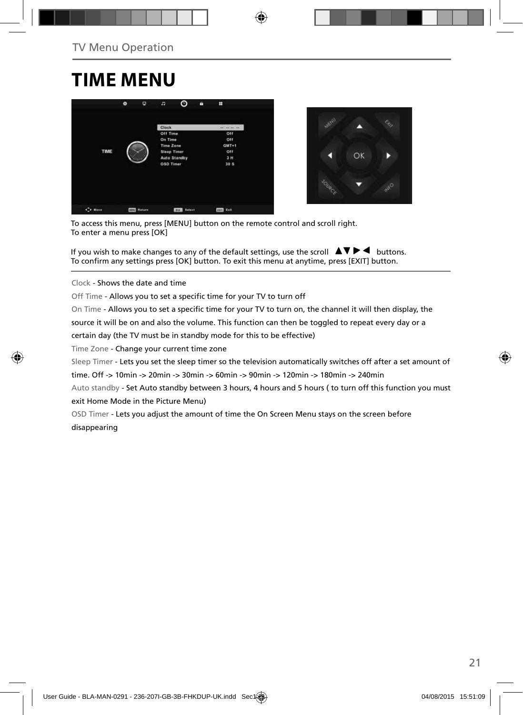## **TIME MENU**





To access this menu, press [MENU] button on the remote control and scroll right. To enter a menu press [OK]

If you wish to make changes to any of the default settings, use the scroll  $\blacktriangle \blacktriangledown \blacktriangleright \blacktriangleleft$  buttons. To confirm any settings press [OK] button. To exit this menu at anytime, press [EXIT] button.

Clock - Shows the date and time

Off Time - Allows you to set a specific time for your TV to turn off

On Time - Allows you to set a specific time for your TV to turn on, the channel it will then display, the

source it will be on and also the volume. This function can then be toggled to repeat every day or a

certain day (the TV must be in standby mode for this to be effective)

Time Zone - Change your current time zone

Sleep Timer - Lets you set the sleep timer so the television automatically switches off after a set amount of

time. Off -> 10min -> 20min -> 30min -> 60min -> 90min -> 120min -> 180min -> 240min

Auto standby - Set Auto standby between 3 hours, 4 hours and 5 hours ( to turn off this function you must exit Home Mode in the Picture Menu)

OSD Timer - Lets you adjust the amount of time the On Screen Menu stays on the screen before disappearing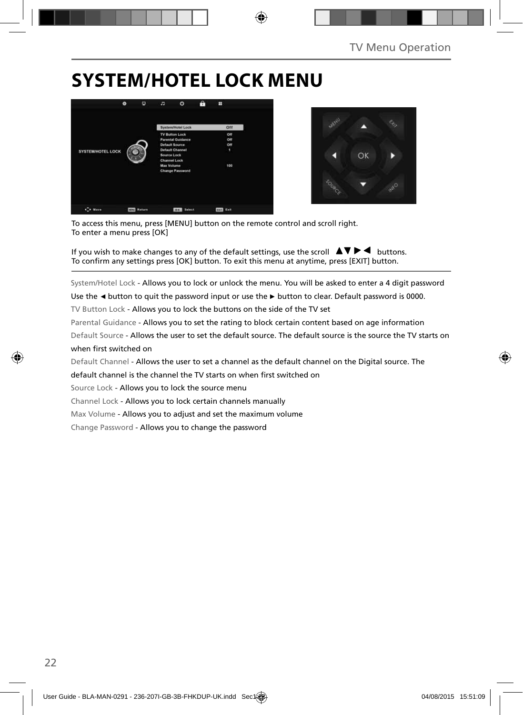## **SYSTEM/HOTEL LOCK MENU**





To access this menu, press [MENU] button on the remote control and scroll right. To enter a menu press [OK]

If you wish to make changes to any of the default settings, use the scroll  $\blacktriangle \blacktriangledown \blacktriangleright \blacktriangleleft$  buttons. To confirm any settings press [OK] button. To exit this menu at anytime, press [EXIT] button.

System/Hotel Lock - Allows you to lock or unlock the menu. You will be asked to enter a 4 digit password

Use the **◄** button to quit the password input or use the **►** button to clear. Default password is 0000.

TV Button Lock - Allows you to lock the buttons on the side of the TV set

Parental Guidance - Allows you to set the rating to block certain content based on age information

Default Source - Allows the user to set the default source. The default source is the source the TV starts on when first switched on

Default Channel - Allows the user to set a channel as the default channel on the Digital source. The

default channel is the channel the TV starts on when first switched on

Source Lock - Allows you to lock the source menu

Channel Lock - Allows you to lock certain channels manually

Max Volume - Allows you to adjust and set the maximum volume

Change Password - Allows you to change the password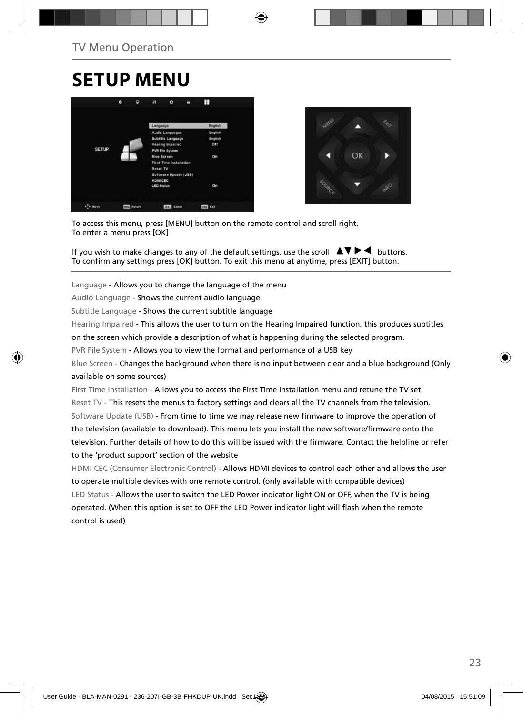## **SETUP MENU**





To access this menu, press [MENU] button on the remote control and scroll right. To enter a menu press [OK]

If you wish to make changes to any of the default settings, use the scroll  $\blacktriangle \blacktriangledown \blacktriangleright \blacktriangleleft$  buttons. To confirm any settings press [OK] button. To exit this menu at anytime, press [EXIT] button.

Language - Allows you to change the language of the menu

Audio Language - Shows the current audio language

Subtitle Language - Shows the current subtitle language

Hearing Impaired - This allows the user to turn on the Hearing Impaired function, this produces subtitles

on the screen which provide a description of what is happening during the selected program.

PVR File System - Allows you to view the format and performance of a USB key

Blue Screen - Changes the background when there is no input between clear and a blue background (Only available on some sources)

First Time Installation - Allows you to access the First Time Installation menu and retune the TV set Reset TV - This resets the menus to factory settings and clears all the TV channels from the television. Software Update (USB) - From time to time we may release new firmware to improve the operation of the television (available to download). This menu lets you install the new software/firmware onto the television. Further details of how to do this will be issued with the firmware. Contact the helpline or refer to the 'product support' section of the website

HDMI CEC (Consumer Electronic Control) - Allows HDMI devices to control each other and allows the user to operate multiple devices with one remote control. (only available with compatible devices) LED Status - Allows the user to switch the LED Power indicator light ON or OFF, when the TV is being operated. (When this option is set to OFF the LED Power indicator light will flash when the remote control is used)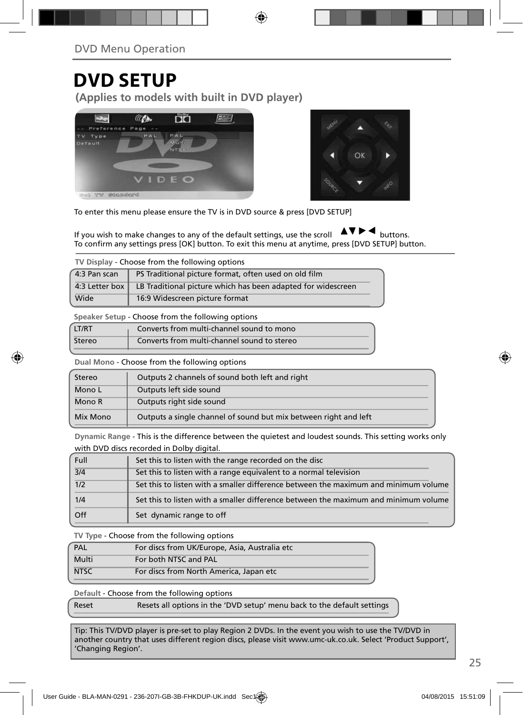## **DVD SETUP**

**(Applies to models with built in DVD player)**





To enter this menu please ensure the TV is in DVD source & press [DVD SETUP]

If you wish to make changes to any of the default settings, use the scroll  $\Delta \nabla \blacktriangleright$   $\blacktriangleleft$  buttons. To confirm any settings press [OK] button. To exit this menu at anytime, press [DVD SETUP] button.

**TV Display** - Choose from the following options

| 4:3 Pan scan   | PS Traditional picture format, often used on old film        |  |  |  |
|----------------|--------------------------------------------------------------|--|--|--|
| 4:3 Letter box | LB Traditional picture which has been adapted for widescreen |  |  |  |
| Wide           | 16:9 Widescreen picture format                               |  |  |  |

**Speaker Setup** - Choose from the following options

| LT/RT  | Converts from multi-channel sound to mono   |  |
|--------|---------------------------------------------|--|
| Stereo | Converts from multi-channel sound to stereo |  |

**Dual Mono** - Choose from the following options

| Stereo   | Outputs 2 channels of sound both left and right                  |  |  |
|----------|------------------------------------------------------------------|--|--|
| Mono L   | Outputs left side sound                                          |  |  |
| Mono R   | Outputs right side sound                                         |  |  |
| Mix Mono | Outputs a single channel of sound but mix between right and left |  |  |

**Dynamic Range** - This is the difference between the quietest and loudest sounds. This setting works only with DVD discs recorded in Dolby digital.

| Full | Set this to listen with the range recorded on the disc                              |
|------|-------------------------------------------------------------------------------------|
| 3/4  | Set this to listen with a range equivalent to a normal television                   |
| 1/2  | Set this to listen with a smaller difference between the maximum and minimum volume |
| 1/4  | Set this to listen with a smaller difference between the maximum and minimum volume |
| Off  | Set dynamic range to off                                                            |

**TV Type** - Choose from the following options

| PAL         | For discs from UK/Europe, Asia, Australia etc |
|-------------|-----------------------------------------------|
| Multi       | For both NTSC and PAL                         |
| <b>NTSC</b> | For discs from North America, Japan etc       |

**Default** - Choose from the following options

| Reset | Resets all options in the 'DVD setup' menu back to the default settings |
|-------|-------------------------------------------------------------------------|
|-------|-------------------------------------------------------------------------|

Tip: This TV/DVD player is pre-set to play Region 2 DVDs. In the event you wish to use the TV/DVD in another country that uses different region discs, please visit www.umc-uk.co.uk. Select 'Product Support', 'Changing Region'.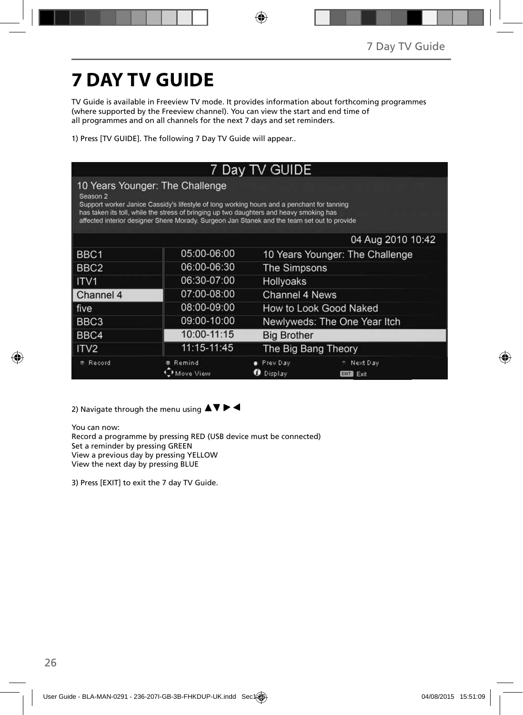# **7 DAY TV GUIDE**

TV Guide is available in Freeview TV mode. It provides information about forthcoming programmes (where supported by the Freeview channel). You can view the start and end time of all programmes and on all channels for the next 7 days and set reminders.

1) Press [TV GUIDE]. The following 7 Day TV Guide will appear..

| 7 Day TV GUIDE                                                                                                                                                                                                                                                                                                                      |             |                                                        |  |  |
|-------------------------------------------------------------------------------------------------------------------------------------------------------------------------------------------------------------------------------------------------------------------------------------------------------------------------------------|-------------|--------------------------------------------------------|--|--|
| 10 Years Younger: The Challenge<br>Season 2<br>Support worker Janice Cassidy's lifestyle of long working hours and a penchant for tanning<br>has taken its toll, while the stress of bringing up two daughters and heavy smoking has<br>affected interior designer Shere Morady. Surgeon Jan Stanek and the team set out to provide |             |                                                        |  |  |
|                                                                                                                                                                                                                                                                                                                                     |             | 04 Aug 2010 10:42                                      |  |  |
| BBC <sub>1</sub>                                                                                                                                                                                                                                                                                                                    | 05:00-06:00 | 10 Years Younger: The Challenge                        |  |  |
| BBC <sub>2</sub>                                                                                                                                                                                                                                                                                                                    | 06:00-06:30 | The Simpsons                                           |  |  |
| ITV <sub>1</sub>                                                                                                                                                                                                                                                                                                                    | 06:30-07:00 | <b>Hollyoaks</b>                                       |  |  |
| Channel 4                                                                                                                                                                                                                                                                                                                           | 07:00-08:00 | Channel 4 News                                         |  |  |
| five                                                                                                                                                                                                                                                                                                                                | 08:00-09:00 | How to Look Good Naked                                 |  |  |
| BBC3                                                                                                                                                                                                                                                                                                                                | 09:00-10:00 | Newlyweds: The One Year Itch                           |  |  |
| BBC4                                                                                                                                                                                                                                                                                                                                | 10:00-11:15 | <b>Big Brother</b>                                     |  |  |
| ITV <sub>2</sub>                                                                                                                                                                                                                                                                                                                    | 11:15-11:45 | The Big Bang Theory                                    |  |  |
| Record                                                                                                                                                                                                                                                                                                                              | Remind      | Prev Day<br>Next Day<br>Display<br>Exit<br><b>EXIT</b> |  |  |

2) Navigate through the menu using  $\blacktriangle \blacktriangledown \blacktriangleright \blacktriangleleft$ 

You can now: Record a programme by pressing RED (USB device must be connected) Set a reminder by pressing GREEN View a previous day by pressing YELLOW View the next day by pressing BLUE

3) Press [EXIT] to exit the 7 day TV Guide.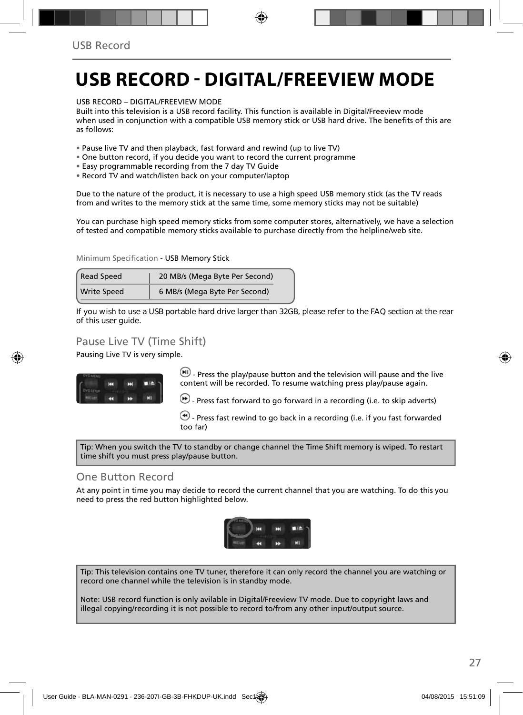## **USB RECORD - DIGITAL/FREEVIEW MODE**

USB RECORD – DIGITAL/FREEVIEW MODE

Built into this television is a USB record facility. This function is available in Digital/Freeview mode when used in conjunction with a compatible USB memory stick or USB hard drive. The benefits of this are as follows:

- Pause live TV and then playback, fast forward and rewind (up to live TV)
- One button record, if you decide you want to record the current programme
- Easy programmable recording from the 7 day TV Guide
- Record TV and watch/listen back on your computer/laptop

Due to the nature of the product, it is necessary to use a high speed USB memory stick (as the TV reads from and writes to the memory stick at the same time, some memory sticks may not be suitable)

You can purchase high speed memory sticks from some computer stores, alternatively, we have a selection of tested and compatible memory sticks available to purchase directly from the helpline/web site.

Minimum Specification - USB Memory Stick

| <b>Read Speed</b>  | 20 MB/s (Mega Byte Per Second) |
|--------------------|--------------------------------|
| <b>Write Speed</b> | 6 MB/s (Mega Byte Per Second)  |

**If you wish to use a USB portable hard drive larger than 32GB, please refer to the FAQ section at the rear of this user guide.**

### Pause Live TV (Time Shift)

Pausing Live TV is very simple.



 $\left(\blacksquare\right)$  - Press the play/pause button and the television will pause and the live content will be recorded. To resume watching press play/pause again.

 $\bigcirc$  - Press fast forward to go forward in a recording (i.e. to skip adverts)

 $\bigcirc$  - Press fast rewind to go back in a recording (i.e. if you fast forwarded too far)

Tip: When you switch the TV to standby or change channel the Time Shift memory is wiped. To restart time shift you must press play/pause button.

#### One Button Record

At any point in time you may decide to record the current channel that you are watching. To do this you need to press the red button highlighted below.



Tip: This television contains one TV tuner, therefore it can only record the channel you are watching or record one channel while the television is in standby mode.

Note: USB record function is only avilable in Digital/Freeview TV mode. Due to copyright laws and illegal copying/recording it is not possible to record to/from any other input/output source.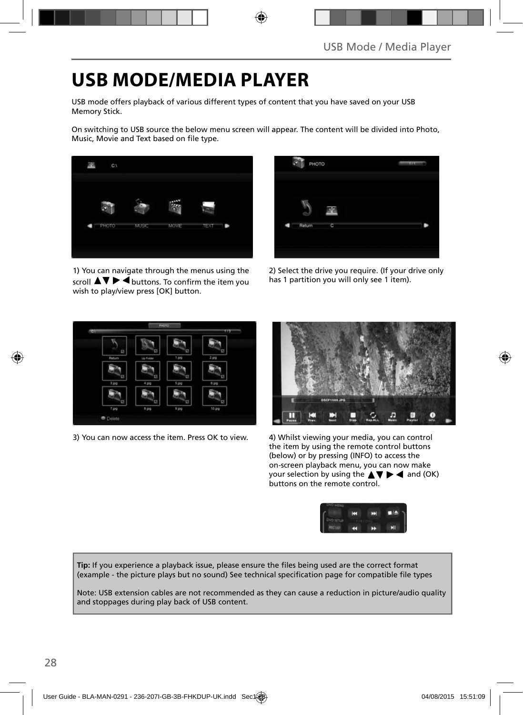## **USB MODE/MEDIA PLAYER**

USB mode offers playback of various different types of content that you have saved on your USB Memory Stick.

On switching to USB source the below menu screen will appear. The content will be divided into Photo, Music, Movie and Text based on file type.



1) You can navigate through the menus using the scroll  $\blacktriangle \blacktriangledown \blacktriangleright \blacktriangleleft$  buttons. To confirm the item you wish to play/view press [OK] button.



2) Select the drive you require. (If your drive only has 1 partition you will only see 1 item).



3) You can now access the item. Press OK to view. 4) Whilst viewing your media, you can control



the item by using the remote control buttons (below) or by pressing (INFO) to access the on-screen playback menu, you can now make your selection by using the  $\blacktriangle \blacktriangledown \blacktriangleright \blacktriangleleft$  and (OK) buttons on the remote control.



Tip: If you experience a playback issue, please ensure the files being used are the correct format (example - the picture plays but no sound) See technical specification page for compatible file types

Note: USB extension cables are not recommended as they can cause a reduction in picture/audio quality and stoppages during play back of USB content.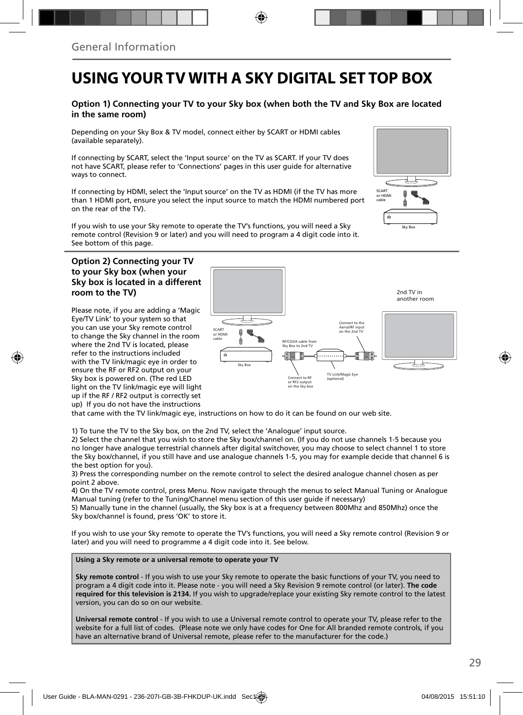### **USING YOUR TV WITH A SKY DIGITAL SET TOP BOX**

#### **Option 1) Connecting your TV to your Sky box (when both the TV and Sky Box are located in the same room)**

Depending on your Sky Box & TV model, connect either by SCART or HDMI cables (available separately).

If connecting by SCART, select the 'Input source' on the TV as SCART. If your TV does not have SCART, please refer to 'Connections' pages in this user guide for alternative ways to connect.

If connecting by HDMI, select the 'Input source' on the TV as HDMI (if the TV has more than 1 HDMI port, ensure you select the input source to match the HDMI numbered port on the rear of the TV).

If you wish to use your Sky remote to operate the TV's functions, you will need a Sky remote control (Revision 9 or later) and you will need to program a 4 digit code into it. See bottom of this page.

#### **Option 2) Connecting your TV to your Sky box (when your Sky box is located in a different room to the TV)**

Please note, if you are adding a 'Magic Eye/TV Link' to your system so that you can use your Sky remote control to change the Sky channel in the room where the 2nd TV is located, please refer to the instructions included with the TV link/magic eye in order to ensure the RF or RF2 output on your Sky box is powered on. (The red LED light on the TV link/magic eye will light up if the RF / RF2 output is correctly set up) If you do not have the instructions



that came with the TV link/magic eye, instructions on how to do it can be found on our web site.

1) To tune the TV to the Sky box, on the 2nd TV, select the 'Analogue' input source.

2) Select the channel that you wish to store the Sky box/channel on. (If you do not use channels 1-5 because you no longer have analogue terrestrial channels after digital switchover, you may choose to select channel 1 to store the Sky box/channel, if you still have and use analogue channels 1-5, you may for example decide that channel 6 is the best option for you).

3) Press the corresponding number on the remote control to select the desired analogue channel chosen as per point 2 above.

4) On the TV remote control, press Menu. Now navigate through the menus to select Manual Tuning or Analogue Manual tuning (refer to the Tuning/Channel menu section of this user guide if necessary)

5) Manually tune in the channel (usually, the Sky box is at a frequency between 800Mhz and 850Mhz) once the Sky box/channel is found, press 'OK' to store it.

If you wish to use your Sky remote to operate the TV's functions, you will need a Sky remote control (Revision 9 or later) and you will need to programme a 4 digit code into it. See below.

#### **Using a Sky remote or a universal remote to operate your TV**

**Sky remote control** - If you wish to use your Sky remote to operate the basic functions of your TV, you need to program a 4 digit code into it. Please note - you will need a Sky Revision 9 remote control (or later). **The code required for this television is 2134.** If you wish to upgrade/replace your existing Sky remote control to the latest version, you can do so on our website.

**Universal remote control** - If you wish to use a Universal remote control to operate your TV, please refer to the website for a full list of codes. (Please note we only have codes for One for All branded remote controls, if you have an alternative brand of Universal remote, please refer to the manufacturer for the code.)

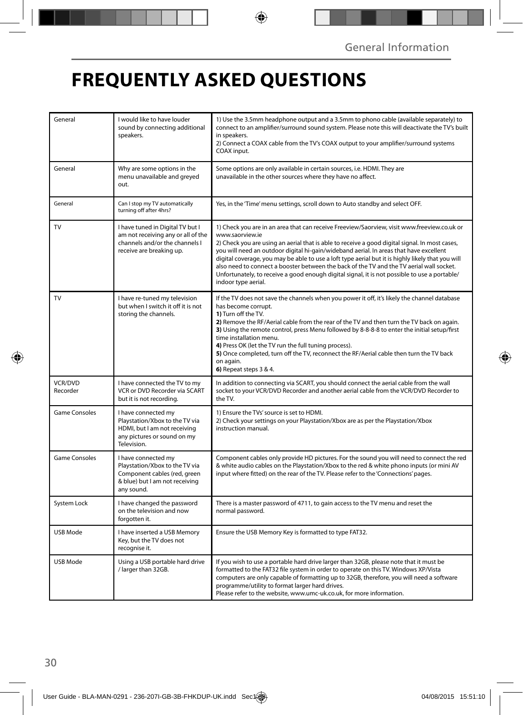## **FREQUENTLY ASKED QUESTIONS**

| General              | I would like to have louder<br>sound by connecting additional<br>speakers.                                                            | 1) Use the 3.5mm headphone output and a 3.5mm to phono cable (available separately) to<br>connect to an amplifier/surround sound system. Please note this will deactivate the TV's built<br>in speakers.<br>2) Connect a COAX cable from the TV's COAX output to your amplifier/surround systems<br>COAX input.                                                                                                                                                                                                                                                                                                                     |  |
|----------------------|---------------------------------------------------------------------------------------------------------------------------------------|-------------------------------------------------------------------------------------------------------------------------------------------------------------------------------------------------------------------------------------------------------------------------------------------------------------------------------------------------------------------------------------------------------------------------------------------------------------------------------------------------------------------------------------------------------------------------------------------------------------------------------------|--|
| General              | Why are some options in the<br>menu unavailable and greyed<br>out.                                                                    | Some options are only available in certain sources, i.e. HDMI. They are<br>unavailable in the other sources where they have no affect.                                                                                                                                                                                                                                                                                                                                                                                                                                                                                              |  |
| General              | Can I stop my TV automatically<br>turning off after 4hrs?                                                                             | Yes, in the 'Time' menu settings, scroll down to Auto standby and select OFF.                                                                                                                                                                                                                                                                                                                                                                                                                                                                                                                                                       |  |
| TV                   | I have tuned in Digital TV but I<br>am not receiving any or all of the<br>channels and/or the channels I<br>receive are breaking up.  | 1) Check you are in an area that can receive Freeview/Saorview, visit www.freeview.co.uk or<br>www.saorview.ie<br>2) Check you are using an aerial that is able to receive a good digital signal. In most cases,<br>you will need an outdoor digital hi-gain/wideband aerial. In areas that have excellent<br>digital coverage, you may be able to use a loft type aerial but it is highly likely that you will<br>also need to connect a booster between the back of the TV and the TV aerial wall socket.<br>Unfortunately, to receive a good enough digital signal, it is not possible to use a portable/<br>indoor type aerial. |  |
| TV                   | I have re-tuned my television<br>but when I switch it off it is not<br>storing the channels.                                          | If the TV does not save the channels when you power it off, it's likely the channel database<br>has become corrupt.<br>1) Turn off the TV.<br>2) Remove the RF/Aerial cable from the rear of the TV and then turn the TV back on again.<br>3) Using the remote control, press Menu followed by 8-8-8-8 to enter the initial setup/first<br>time installation menu.<br>4) Press OK (let the TV run the full tuning process).<br>5) Once completed, turn off the TV, reconnect the RF/Aerial cable then turn the TV back<br>on again.<br>6) Repeat steps 3 & 4.                                                                       |  |
| VCR/DVD<br>Recorder  | I have connected the TV to my<br>VCR or DVD Recorder via SCART<br>but it is not recording.                                            | In addition to connecting via SCART, you should connect the aerial cable from the wall<br>socket to your VCR/DVD Recorder and another aerial cable from the VCR/DVD Recorder to<br>the TV.                                                                                                                                                                                                                                                                                                                                                                                                                                          |  |
| <b>Game Consoles</b> | I have connected my<br>Playstation/Xbox to the TV via<br>HDMI, but I am not receiving<br>any pictures or sound on my<br>Television.   | 1) Ensure the TVs' source is set to HDMI.<br>2) Check your settings on your Playstation/Xbox are as per the Playstation/Xbox<br>instruction manual.                                                                                                                                                                                                                                                                                                                                                                                                                                                                                 |  |
| <b>Game Consoles</b> | I have connected my<br>Playstation/Xbox to the TV via<br>Component cables (red, green<br>& blue) but I am not receiving<br>any sound. | Component cables only provide HD pictures. For the sound you will need to connect the red<br>& white audio cables on the Playstation/Xbox to the red & white phono inputs (or mini AV<br>input where fitted) on the rear of the TV. Please refer to the 'Connections' pages.                                                                                                                                                                                                                                                                                                                                                        |  |
| System Lock          | I have changed the password<br>on the television and now<br>forgotten it.                                                             | There is a master password of 4711, to gain access to the TV menu and reset the<br>normal password.                                                                                                                                                                                                                                                                                                                                                                                                                                                                                                                                 |  |
| <b>USB Mode</b>      | I have inserted a USB Memory<br>Key, but the TV does not<br>recognise it.                                                             | Ensure the USB Memory Key is formatted to type FAT32.                                                                                                                                                                                                                                                                                                                                                                                                                                                                                                                                                                               |  |
| USB Mode             | Using a USB portable hard drive<br>/ larger than 32GB.                                                                                | If you wish to use a portable hard drive larger than 32GB, please note that it must be<br>formatted to the FAT32 file system in order to operate on this TV. Windows XP/Vista<br>computers are only capable of formatting up to 32GB, therefore, you will need a software<br>programme/utility to format larger hard drives.<br>Please refer to the website, www.umc-uk.co.uk, for more information.                                                                                                                                                                                                                                |  |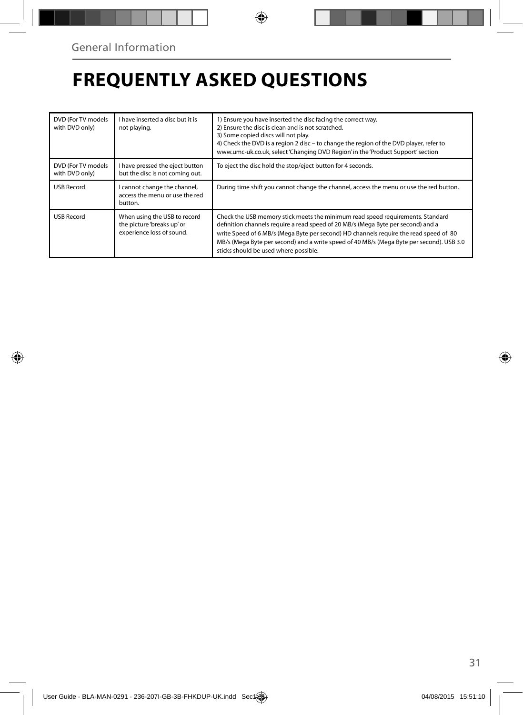## **FREQUENTLY ASKED QUESTIONS**

| DVD (For TV models<br>with DVD only) | I have inserted a disc but it is<br>not playing.                                        | 1) Ensure you have inserted the disc facing the correct way.<br>2) Ensure the disc is clean and is not scratched.<br>3) Some copied discs will not play.<br>4) Check the DVD is a region 2 disc - to change the region of the DVD player, refer to<br>www.umc-uk.co.uk, select 'Changing DVD Region' in the 'Product Support' section                                                            |
|--------------------------------------|-----------------------------------------------------------------------------------------|--------------------------------------------------------------------------------------------------------------------------------------------------------------------------------------------------------------------------------------------------------------------------------------------------------------------------------------------------------------------------------------------------|
| DVD (For TV models<br>with DVD only) | I have pressed the eject button<br>but the disc is not coming out.                      | To eject the disc hold the stop/eject button for 4 seconds.                                                                                                                                                                                                                                                                                                                                      |
| <b>USB Record</b>                    | I cannot change the channel,<br>access the menu or use the red<br>button.               | During time shift you cannot change the channel, access the menu or use the red button.                                                                                                                                                                                                                                                                                                          |
| <b>USB Record</b>                    | When using the USB to record<br>the picture 'breaks up' or<br>experience loss of sound. | Check the USB memory stick meets the minimum read speed requirements. Standard<br>definition channels require a read speed of 20 MB/s (Mega Byte per second) and a<br>write Speed of 6 MB/s (Mega Byte per second) HD channels require the read speed of 80<br>MB/s (Mega Byte per second) and a write speed of 40 MB/s (Mega Byte per second). USB 3.0<br>sticks should be used where possible. |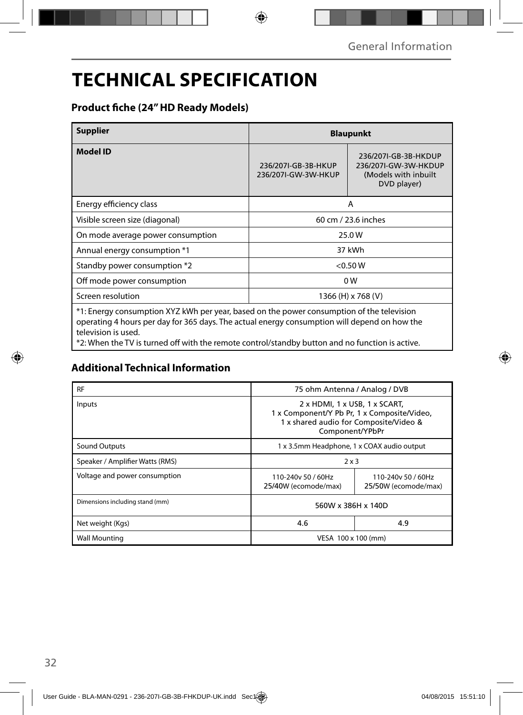## **TECHNICAL SPECIFICATION**

### **Product fi che (24" HD Ready Models)**

| <b>Supplier</b>                                                                                                                                                                                                  | <b>Blaupunkt</b>                           |                                                                                     |  |
|------------------------------------------------------------------------------------------------------------------------------------------------------------------------------------------------------------------|--------------------------------------------|-------------------------------------------------------------------------------------|--|
| <b>Model ID</b>                                                                                                                                                                                                  | 236/207I-GB-3B-HKUP<br>236/207I-GW-3W-HKUP | 236/207I-GB-3B-HKDUP<br>236/207I-GW-3W-HKDUP<br>(Models with inbuilt<br>DVD player) |  |
| Energy efficiency class                                                                                                                                                                                          | A                                          |                                                                                     |  |
| Visible screen size (diagonal)                                                                                                                                                                                   | 60 cm / 23.6 inches                        |                                                                                     |  |
| On mode average power consumption                                                                                                                                                                                | 25.0W                                      |                                                                                     |  |
| Annual energy consumption *1                                                                                                                                                                                     | 37 kWh                                     |                                                                                     |  |
| Standby power consumption *2                                                                                                                                                                                     | < 0.50 W                                   |                                                                                     |  |
| Off mode power consumption                                                                                                                                                                                       | 0W                                         |                                                                                     |  |
| Screen resolution                                                                                                                                                                                                | 1366 (H) x 768 (V)                         |                                                                                     |  |
| *1: Energy consumption XYZ kWh per year, based on the power consumption of the television<br>operating 4 hours per day for 365 days. The actual energy consumption will depend on how the<br>television is used. |                                            |                                                                                     |  |

\*2: When the TV is turned off with the remote control/standby button and no function is active.

### **Additional Technical Information**

| <b>RF</b>                       | 75 ohm Antenna / Analog / DVB                                                                                                             |                                            |  |
|---------------------------------|-------------------------------------------------------------------------------------------------------------------------------------------|--------------------------------------------|--|
| Inputs                          | 2 x HDMI, 1 x USB, 1 x SCART,<br>1 x Component/Y Pb Pr, 1 x Composite/Video,<br>1 x shared audio for Composite/Video &<br>Component/YPbPr |                                            |  |
| Sound Outputs                   | 1 x 3.5mm Headphone, 1 x COAX audio output                                                                                                |                                            |  |
| Speaker / Amplifier Watts (RMS) | $2 \times 3$                                                                                                                              |                                            |  |
| Voltage and power consumption   | 110-240y 50 / 60Hz<br>25/40W (ecomode/max)                                                                                                | 110-240y 50 / 60Hz<br>25/50W (ecomode/max) |  |
| Dimensions including stand (mm) | 560W x 386H x 140D                                                                                                                        |                                            |  |
| Net weight (Kgs)                | 4.6                                                                                                                                       | 4.9                                        |  |
| <b>Wall Mounting</b>            | VESA 100 x 100 (mm)                                                                                                                       |                                            |  |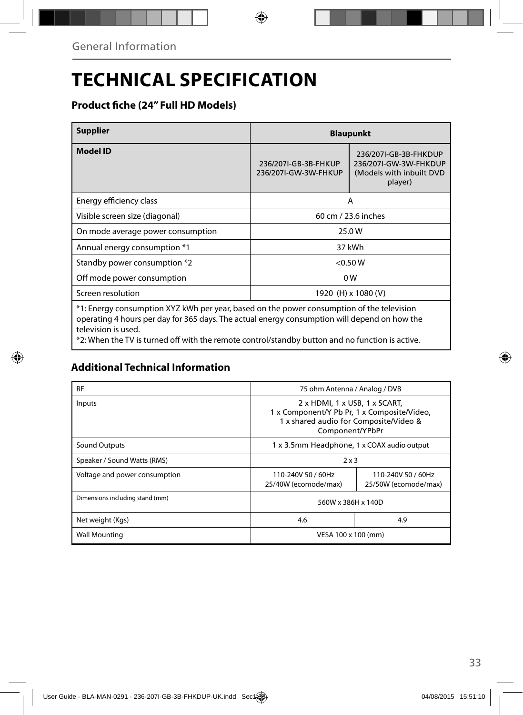## **TECHNICAL SPECIFICATION**

### **Product fiche (24" Full HD Models)**

| <b>Supplier</b>                                                                                                                                                                                             | <b>Blaupunkt</b>                             |                                                                                       |  |  |
|-------------------------------------------------------------------------------------------------------------------------------------------------------------------------------------------------------------|----------------------------------------------|---------------------------------------------------------------------------------------|--|--|
| <b>Model ID</b>                                                                                                                                                                                             | 236/207I-GB-3B-FHKUP<br>236/207I-GW-3W-FHKUP | 236/207I-GB-3B-FHKDUP<br>236/207I-GW-3W-FHKDUP<br>(Models with inbuilt DVD<br>player) |  |  |
| Energy efficiency class                                                                                                                                                                                     | A                                            |                                                                                       |  |  |
| Visible screen size (diagonal)                                                                                                                                                                              | 60 cm / 23.6 inches                          |                                                                                       |  |  |
| On mode average power consumption                                                                                                                                                                           | 25.0W                                        |                                                                                       |  |  |
| Annual energy consumption *1                                                                                                                                                                                | 37 kWh                                       |                                                                                       |  |  |
| Standby power consumption *2                                                                                                                                                                                | < 0.50 W                                     |                                                                                       |  |  |
| Off mode power consumption                                                                                                                                                                                  | 0W                                           |                                                                                       |  |  |
| Screen resolution                                                                                                                                                                                           | 1920 (H) x 1080 (V)                          |                                                                                       |  |  |
| *1: Energy consumption XYZ kWh per year, based on the power consumption of the television<br>an ang tha an Albanya ang dan Gan 205. Ilang Tha ang natital ang mga ang mga taong tilidag ang langsang ang pa |                                              |                                                                                       |  |  |

operating 4 hours per day for 365 days. The actual energy consumption will depend on how the television is used.

\*2: When the TV is turned off with the remote control/standby button and no function is active.

### **Additional Technical Information**

| <b>RF</b>                       | 75 ohm Antenna / Analog / DVB                                                                                                             |                                            |  |
|---------------------------------|-------------------------------------------------------------------------------------------------------------------------------------------|--------------------------------------------|--|
| Inputs                          | 2 x HDMI, 1 x USB, 1 x SCART,<br>1 x Component/Y Pb Pr, 1 x Composite/Video,<br>1 x shared audio for Composite/Video &<br>Component/YPbPr |                                            |  |
| <b>Sound Outputs</b>            | 1 x 3.5mm Headphone, 1 x COAX audio output                                                                                                |                                            |  |
| Speaker / Sound Watts (RMS)     | $2 \times 3$                                                                                                                              |                                            |  |
| Voltage and power consumption   | 110-240V 50 / 60Hz<br>25/40W (ecomode/max)                                                                                                | 110-240V 50 / 60Hz<br>25/50W (ecomode/max) |  |
| Dimensions including stand (mm) | 560W x 386H x 140D                                                                                                                        |                                            |  |
| Net weight (Kgs)                | 4.6                                                                                                                                       | 4.9                                        |  |
| <b>Wall Mounting</b>            | VESA 100 x 100 (mm)                                                                                                                       |                                            |  |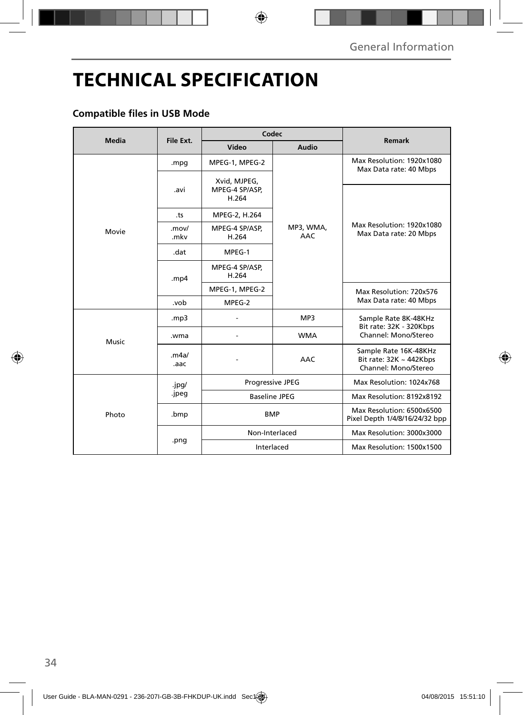## **TECHNICAL SPECIFICATION**

### **Compatible files in USB Mode**

| Media | File Ext.     | Codec                                   |                         |                                                                               |
|-------|---------------|-----------------------------------------|-------------------------|-------------------------------------------------------------------------------|
|       |               | Video                                   | Audio                   | Remark                                                                        |
| Movie | .mpg          | MPEG-1, MPEG-2                          | MP3, WMA,<br><b>AAC</b> | Max Resolution: 1920x1080<br>Max Data rate: 40 Mbps                           |
|       | .avi          | Xvid, MJPEG,<br>MPEG-4 SP/ASP,<br>H.264 |                         | Max Resolution: 1920x1080<br>Max Data rate: 20 Mbps                           |
|       | .ts           | MPEG-2, H.264                           |                         |                                                                               |
|       | .mov/<br>.mkv | MPEG-4 SP/ASP,<br>H.264                 |                         |                                                                               |
|       | .dat          | MPEG-1                                  |                         |                                                                               |
|       | .mp4          | MPEG-4 SP/ASP,<br>H.264                 |                         |                                                                               |
|       |               | MPEG-1, MPEG-2                          |                         | Max Resolution: 720x576<br>Max Data rate: 40 Mbps                             |
|       | .vob          | MPEG-2                                  |                         |                                                                               |
| Music | mp3           |                                         | MP3                     | Sample Rate 8K-48KHz<br>Bit rate: 32K - 320Kbps<br>Channel: Mono/Stereo       |
|       | .wma          |                                         | <b>WMA</b>              |                                                                               |
|       | .m4a/<br>.aac |                                         | <b>AAC</b>              | Sample Rate 16K-48KHz<br>Bit rate: $32K \sim 442Kbps$<br>Channel: Mono/Stereo |
| Photo | .jpg/         | Progressive JPEG                        |                         | Max Resolution: 1024x768                                                      |
|       | .jpeg         | <b>Baseline JPEG</b>                    |                         | Max Resolution: 8192x8192                                                     |
|       | .bmp          | <b>BMP</b>                              |                         | Max Resolution: 6500x6500<br>Pixel Depth 1/4/8/16/24/32 bpp                   |
|       | .png          | Non-Interlaced                          |                         | Max Resolution: 3000x3000                                                     |
|       |               | Interlaced                              |                         | Max Resolution: 1500x1500                                                     |